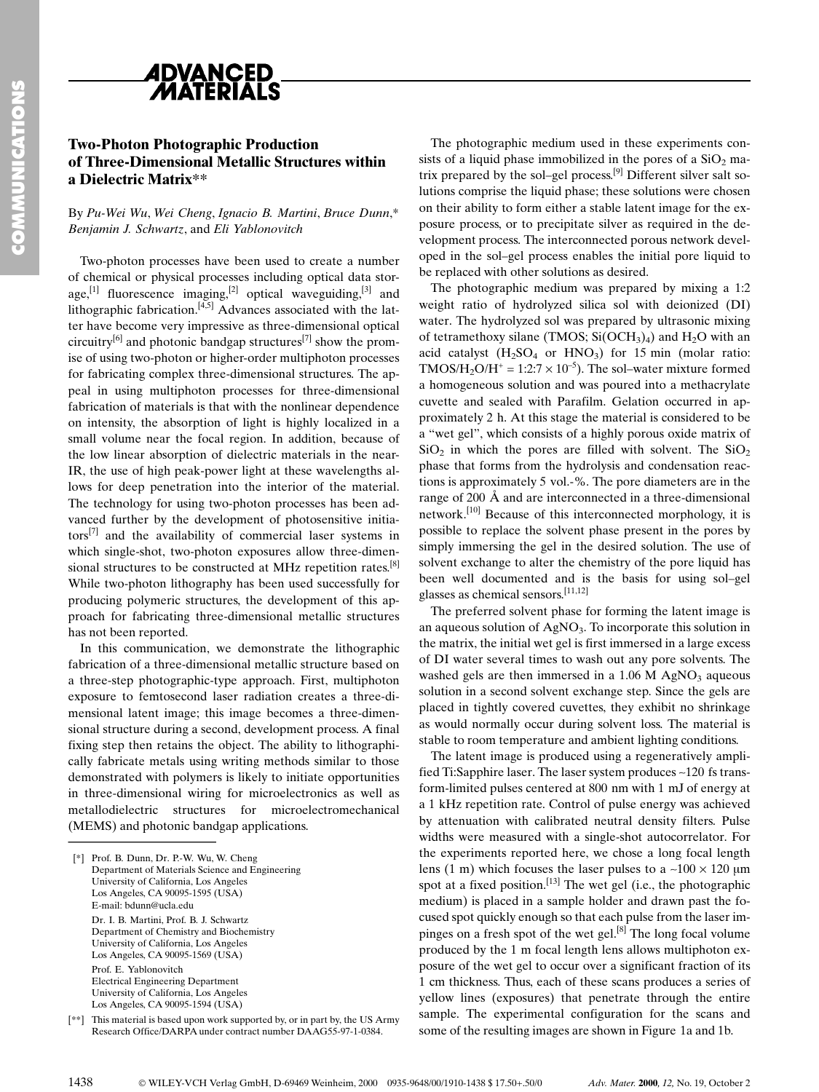

## Two-Photon Photographic Production of Three-Dimensional Metallic Structures within a Dielectric Matrix\*\*

By Pu-Wei Wu, Wei Cheng, Ignacio B. Martini, Bruce Dunn,\* Benjamin J. Schwartz, and Eli Yablonovitch

Two-photon processes have been used to create a number of chemical or physical processes including optical data storage,<sup>[1]</sup> fluorescence imaging,<sup>[2]</sup> optical waveguiding,<sup>[3]</sup> and lithographic fabrication.<sup>[4,5]</sup> Advances associated with the latter have become very impressive as three-dimensional optical circuitry<sup>[6]</sup> and photonic bandgap structures<sup>[7]</sup> show the promise of using two-photon or higher-order multiphoton processes for fabricating complex three-dimensional structures. The appeal in using multiphoton processes for three-dimensional fabrication of materials is that with the nonlinear dependence on intensity, the absorption of light is highly localized in a small volume near the focal region. In addition, because of the low linear absorption of dielectric materials in the near-IR, the use of high peak-power light at these wavelengths allows for deep penetration into the interior of the material. The technology for using two-photon processes has been advanced further by the development of photosensitive initia- $\text{tors}^{[7]}$  and the availability of commercial laser systems in which single-shot, two-photon exposures allow three-dimensional structures to be constructed at MHz repetition rates.<sup>[8]</sup> While two-photon lithography has been used successfully for producing polymeric structures, the development of this approach for fabricating three-dimensional metallic structures has not been reported.

In this communication, we demonstrate the lithographic fabrication of a three-dimensional metallic structure based on a three-step photographic-type approach. First, multiphoton exposure to femtosecond laser radiation creates a three-dimensional latent image; this image becomes a three-dimensional structure during a second, development process. A final fixing step then retains the object. The ability to lithographically fabricate metals using writing methods similar to those demonstrated with polymers is likely to initiate opportunities in three-dimensional wiring for microelectronics as well as metallodielectric structures for microelectromechanical (MEMS) and photonic bandgap applications. has not been reported.<br>
In this communication,<br>
fabrication of a three-dimer<br>
a three-step photographic-texposure to femtosecond 1<br>
mensional latent image; th<br>
sional structure during a sec<br>
fixing step then retains the<br>

[\*] Prof. B. Dunn, Dr. P.-W. Wu, W. Cheng Department of Materials Science and Engineering University of California, Los Angeles Los Angeles, CA 90095-1595 (USA) E-mail: bdunn@ucla.edu

Dr. I. B. Martini, Prof. B. J. Schwartz Department of Chemistry and Biochemistry University of California, Los Angeles Los Angeles, CA 90095-1569 (USA) Prof. E. Yablonovitch Electrical Engineering Department

University of California, Los Angeles Los Angeles, CA 90095-1594 (USA)

[\*\*] This material is based upon work supported by, or in part by, the US Army Research Office/DARPA under contract number DAAG55-97-1-0384.

The photographic medium used in these experiments consists of a liquid phase immobilized in the pores of a  $SiO<sub>2</sub>$  matrix prepared by the sol-gel process.<sup>[9]</sup> Different silver salt solutions comprise the liquid phase; these solutions were chosen on their ability to form either a stable latent image for the exposure process, or to precipitate silver as required in the development process. The interconnected porous network developed in the sol±gel process enables the initial pore liquid to be replaced with other solutions as desired.

The photographic medium was prepared by mixing a 1:2 weight ratio of hydrolyzed silica sol with deionized (DI) water. The hydrolyzed sol was prepared by ultrasonic mixing of tetramethoxy silane (TMOS;  $Si(OCH<sub>3</sub>)<sub>4</sub>$ ) and H<sub>2</sub>O with an acid catalyst  $(H_2SO_4$  or  $HNO_3)$  for 15 min (molar ratio: TMOS/H<sub>2</sub>O/H<sup>+</sup> = 1:2:7  $\times$  10<sup>-5</sup>). The sol–water mixture formed a homogeneous solution and was poured into a methacrylate cuvette and sealed with Parafilm. Gelation occurred in approximately 2 h. At this stage the material is considered to be a ªwet gelº, which consists of a highly porous oxide matrix of  $SiO<sub>2</sub>$  in which the pores are filled with solvent. The  $SiO<sub>2</sub>$ phase that forms from the hydrolysis and condensation reactions is approximately 5 vol.-%. The pore diameters are in the range of 200  $\AA$  and are interconnected in a three-dimensional network.[10] Because of this interconnected morphology, it is possible to replace the solvent phase present in the pores by simply immersing the gel in the desired solution. The use of solvent exchange to alter the chemistry of the pore liquid has been well documented and is the basis for using sol-gel glasses as chemical sensors.[11,12]

The preferred solvent phase for forming the latent image is an aqueous solution of AgNO<sub>3</sub>. To incorporate this solution in the matrix, the initial wet gel is first immersed in a large excess of DI water several times to wash out any pore solvents. The washed gels are then immersed in a  $1.06$  M AgNO<sub>3</sub> aqueous solution in a second solvent exchange step. Since the gels are placed in tightly covered cuvettes, they exhibit no shrinkage as would normally occur during solvent loss. The material is stable to room temperature and ambient lighting conditions.

The latent image is produced using a regeneratively amplified Ti:Sapphire laser. The laser system produces ~120 fs transform-limited pulses centered at 800 nm with 1 mJ of energy at a 1 kHz repetition rate. Control of pulse energy was achieved by attenuation with calibrated neutral density filters. Pulse widths were measured with a single-shot autocorrelator. For the experiments reported here, we chose a long focal length lens (1 m) which focuses the laser pulses to a  $\sim$ 100  $\times$  120 µm spot at a fixed position.<sup>[13]</sup> The wet gel (i.e., the photographic medium) is placed in a sample holder and drawn past the focused spot quickly enough so that each pulse from the laser impinges on a fresh spot of the wet gel. $^{[8]}$  The long focal volume produced by the 1 m focal length lens allows multiphoton exposure of the wet gel to occur over a significant fraction of its 1 cm thickness. Thus, each of these scans produces a series of yellow lines (exposures) that penetrate through the entire sample. The experimental configuration for the scans and some of the resulting images are shown in Figure 1a and 1b.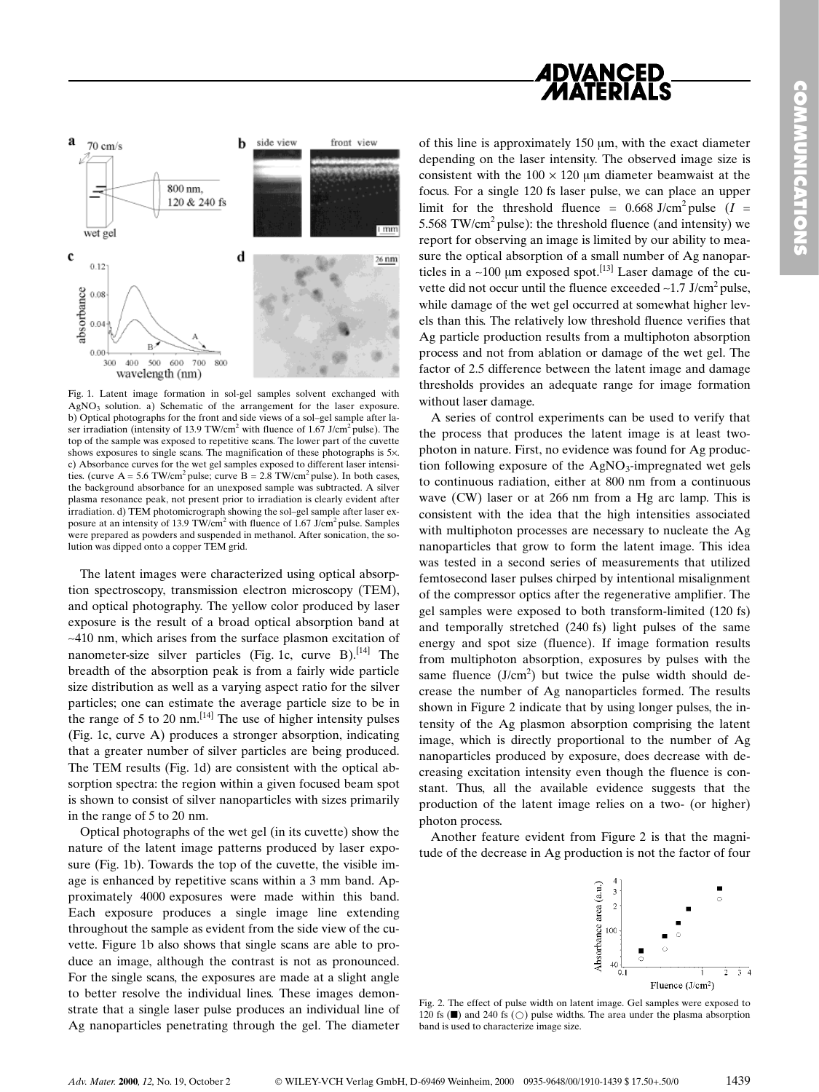



Fig. 1. Latent image formation in sol-gel samples solvent exchanged with  $AgNO<sub>3</sub>$  solution. a) Schematic of the arrangement for the laser exposure. b) Optical photographs for the front and side views of a sol-gel sample after laser irradiation (intensity of 13.9 TW/cm<sup>2</sup> with fluence of 1.67 J/cm<sup>2</sup> pulse). The top of the sample was exposed to repetitive scans. The lower part of the cuvette shows exposures to single scans. The magnification of these photographs is  $5\times$ . c) Absorbance curves for the wet gel samples exposed to different laser intensities. (curve  $A = 5.6$  TW/cm<sup>2</sup> pulse; curve  $B = 2.8$  TW/cm<sup>2</sup> pulse). In both cases, the background absorbance for an unexposed sample was subtracted. A silver plasma resonance peak, not present prior to irradiation is clearly evident after irradiation. d) TEM photomicrograph showing the sol-gel sample after laser exposure at an intensity of 13.9 TW/cm<sup>2</sup> with fluence of 1.67 J/cm<sup>2</sup> pulse. Samples were prepared as powders and suspended in methanol. After sonication, the solution was dipped onto a copper TEM grid.

The latent images were characterized using optical absorption spectroscopy, transmission electron microscopy (TEM), and optical photography. The yellow color produced by laser exposure is the result of a broad optical absorption band at ~410 nm, which arises from the surface plasmon excitation of nanometer-size silver particles (Fig. 1c, curve B).<sup>[14]</sup> The breadth of the absorption peak is from a fairly wide particle size distribution as well as a varying aspect ratio for the silver particles; one can estimate the average particle size to be in the range of 5 to 20  $nm$ .<sup>[14]</sup> The use of higher intensity pulses (Fig. 1c, curve A) produces a stronger absorption, indicating that a greater number of silver particles are being produced. The TEM results (Fig. 1d) are consistent with the optical absorption spectra: the region within a given focused beam spot is shown to consist of silver nanoparticles with sizes primarily in the range of 5 to 20 nm.

Optical photographs of the wet gel (in its cuvette) show the nature of the latent image patterns produced by laser exposure (Fig. 1b). Towards the top of the cuvette, the visible image is enhanced by repetitive scans within a 3 mm band. Approximately 4000 exposures were made within this band. Each exposure produces a single image line extending throughout the sample as evident from the side view of the cuvette. Figure 1b also shows that single scans are able to produce an image, although the contrast is not as pronounced. For the single scans, the exposures are made at a slight angle to better resolve the individual lines. These images demonstrate that a single laser pulse produces an individual line of Ag nanoparticles penetrating through the gel. The diameter

of this line is approximately  $150 \mu m$ , with the exact diameter depending on the laser intensity. The observed image size is consistent with the  $100 \times 120$  µm diameter beamwaist at the focus. For a single 120 fs laser pulse, we can place an upper limit for the threshold fluence =  $0.668$  J/cm<sup>2</sup> pulse (I = 5.568 TW/cm<sup>2</sup> pulse): the threshold fluence (and intensity) we report for observing an image is limited by our ability to measure the optical absorption of a small number of Ag nanoparticles in a  $\sim$ 100 µm exposed spot.<sup>[13]</sup> Laser damage of the cuvette did not occur until the fluence exceeded  $\sim$ 1.7 J/cm<sup>2</sup> pulse, while damage of the wet gel occurred at somewhat higher levels than this. The relatively low threshold fluence verifies that Ag particle production results from a multiphoton absorption process and not from ablation or damage of the wet gel. The factor of 2.5 difference between the latent image and damage thresholds provides an adequate range for image formation without laser damage.

A series of control experiments can be used to verify that the process that produces the latent image is at least twophoton in nature. First, no evidence was found for Ag production following exposure of the  $AgNO<sub>3</sub>$ -impregnated wet gels to continuous radiation, either at 800 nm from a continuous wave (CW) laser or at 266 nm from a Hg arc lamp. This is consistent with the idea that the high intensities associated with multiphoton processes are necessary to nucleate the Ag nanoparticles that grow to form the latent image. This idea was tested in a second series of measurements that utilized femtosecond laser pulses chirped by intentional misalignment of the compressor optics after the regenerative amplifier. The gel samples were exposed to both transform-limited (120 fs) and temporally stretched (240 fs) light pulses of the same energy and spot size (fluence). If image formation results from multiphoton absorption, exposures by pulses with the same fluence  $(J/cm<sup>2</sup>)$  but twice the pulse width should decrease the number of Ag nanoparticles formed. The results shown in Figure 2 indicate that by using longer pulses, the intensity of the Ag plasmon absorption comprising the latent image, which is directly proportional to the number of Ag nanoparticles produced by exposure, does decrease with decreasing excitation intensity even though the fluence is constant. Thus, all the available evidence suggests that the production of the latent image relies on a two- (or higher) photon process.

Another feature evident from Figure 2 is that the magnitude of the decrease in Ag production is not the factor of four



Fig. 2. The effect of pulse width on latent image. Gel samples were exposed to 120 fs  $(\blacksquare)$  and 240 fs  $(\bigcirc)$  pulse widths. The area under the plasma absorption band is used to characterize image size.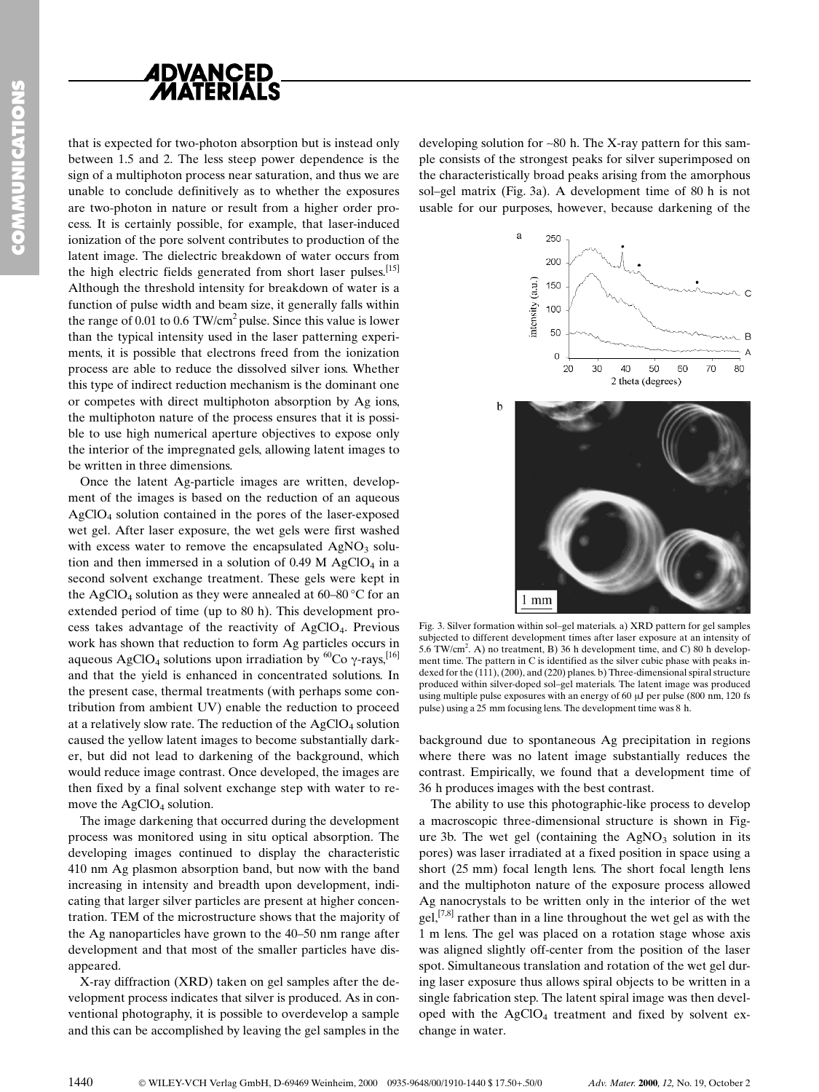

that is expected for two-photon absorption but is instead only between 1.5 and 2. The less steep power dependence is the sign of a multiphoton process near saturation, and thus we are unable to conclude definitively as to whether the exposures are two-photon in nature or result from a higher order process. It is certainly possible, for example, that laser-induced ionization of the pore solvent contributes to production of the latent image. The dielectric breakdown of water occurs from the high electric fields generated from short laser pulses.<sup>[15]</sup> Although the threshold intensity for breakdown of water is a function of pulse width and beam size, it generally falls within the range of 0.01 to 0.6 TW/cm<sup>2</sup> pulse. Since this value is lower than the typical intensity used in the laser patterning experiments, it is possible that electrons freed from the ionization process are able to reduce the dissolved silver ions. Whether this type of indirect reduction mechanism is the dominant one or competes with direct multiphoton absorption by Ag ions, the multiphoton nature of the process ensures that it is possible to use high numerical aperture objectives to expose only the interior of the impregnated gels, allowing latent images to be written in three dimensions.

Once the latent Ag-particle images are written, development of the images is based on the reduction of an aqueous AgClO4 solution contained in the pores of the laser-exposed wet gel. After laser exposure, the wet gels were first washed with excess water to remove the encapsulated  $AgNO<sub>3</sub>$  solution and then immersed in a solution of  $0.49$  M AgClO<sub>4</sub> in a second solvent exchange treatment. These gels were kept in the AgClO<sub>4</sub> solution as they were annealed at  $60-80$  °C for an extended period of time (up to 80 h). This development process takes advantage of the reactivity of AgClO4. Previous work has shown that reduction to form Ag particles occurs in aqueous AgClO<sub>4</sub> solutions upon irradiation by <sup>60</sup>Co  $\gamma$ -rays,<sup>[16]</sup> and that the yield is enhanced in concentrated solutions. In the present case, thermal treatments (with perhaps some contribution from ambient UV) enable the reduction to proceed at a relatively slow rate. The reduction of the  $AgClO<sub>4</sub>$  solution caused the yellow latent images to become substantially darker, but did not lead to darkening of the background, which would reduce image contrast. Once developed, the images are then fixed by a final solvent exchange step with water to remove the  $AgClO<sub>4</sub>$  solution.

The image darkening that occurred during the development process was monitored using in situ optical absorption. The developing images continued to display the characteristic 410 nm Ag plasmon absorption band, but now with the band increasing in intensity and breadth upon development, indicating that larger silver particles are present at higher concentration. TEM of the microstructure shows that the majority of the Ag nanoparticles have grown to the  $40-50$  nm range after development and that most of the smaller particles have disappeared.

X-ray diffraction (XRD) taken on gel samples after the development process indicates that silver is produced. As in conventional photography, it is possible to overdevelop a sample and this can be accomplished by leaving the gel samples in the developing solution for  $\sim 80$  h. The X-ray pattern for this sample consists of the strongest peaks for silver superimposed on the characteristically broad peaks arising from the amorphous sol-gel matrix (Fig. 3a). A development time of 80 h is not usable for our purposes, however, because darkening of the



Fig. 3. Silver formation within sol-gel materials. a) XRD pattern for gel samples subjected to different development times after laser exposure at an intensity of 5.6 TW/cm<sup>2</sup> . A) no treatment, B) 36 h development time, and C) 80 h development time. The pattern in C is identified as the silver cubic phase with peaks indexed for the (111), (200), and (220) planes. b) Three-dimensional spiral structure produced within silver-doped sol-gel materials. The latent image was produced using multiple pulse exposures with an energy of 60  $\mu$ J per pulse (800 nm, 120 fs pulse) using a 25 mm focusing lens. The development time was 8 h.

background due to spontaneous Ag precipitation in regions where there was no latent image substantially reduces the contrast. Empirically, we found that a development time of 36 h produces images with the best contrast.

The ability to use this photographic-like process to develop a macroscopic three-dimensional structure is shown in Figure 3b. The wet gel (containing the  $AgNO<sub>3</sub>$  solution in its pores) was laser irradiated at a fixed position in space using a short (25 mm) focal length lens. The short focal length lens and the multiphoton nature of the exposure process allowed Ag nanocrystals to be written only in the interior of the wet gel,  $[7,8]$  rather than in a line throughout the wet gel as with the 1 m lens. The gel was placed on a rotation stage whose axis was aligned slightly off-center from the position of the laser spot. Simultaneous translation and rotation of the wet gel during laser exposure thus allows spiral objects to be written in a single fabrication step. The latent spiral image was then developed with the  $AgClO<sub>4</sub>$  treatment and fixed by solvent exchange in water.